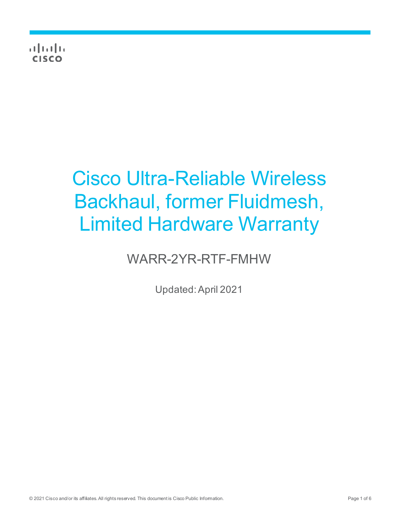$\frac{1}{2}$   $\frac{1}{2}$   $\frac{1}{2}$   $\frac{1}{2}$   $\frac{1}{2}$   $\frac{1}{2}$ **CISCO** 

# Cisco Ultra-Reliable Wireless Backhaul, former Fluidmesh, Limited Hardware Warranty

# WARR-2YR-RTF-FMHW

Updated:April 2021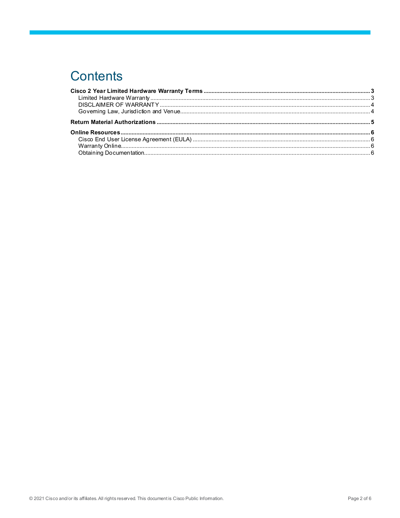# **Contents**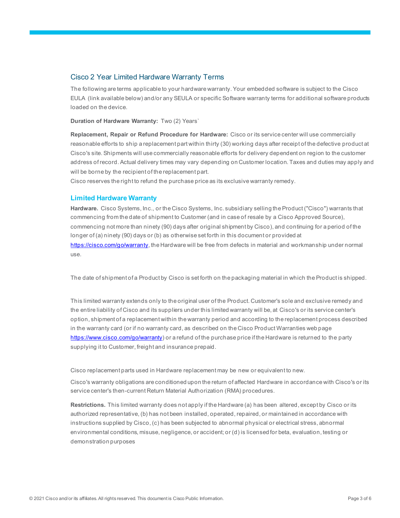## <span id="page-2-0"></span>Cisco 2 Year Limited Hardware Warranty Terms

The following are terms applicable to your hardware warranty. Your embedded software is subject to the Cisco EULA (link available below) and/or any SEULA or specific Software warranty terms for additional software products loaded on the device.

**Duration of Hardware Warranty:** Two (2) Years`

**Replacement, Repair or Refund Procedure for Hardware:** Cisco or its service center will use commercially reasonable efforts to ship a replacement part within thirty (30) working days after receipt of the defective product at Cisco's site. Shipments will use commercially reasonable efforts for delivery dependent on region to the customer address of record. Actual delivery times may vary depending on Customer location. Taxes and duties may apply and will be borne by the recipient of the replacement part.

Cisco reserves the right to refund the purchase price as its exclusive warranty remedy.

#### <span id="page-2-1"></span>**Limited Hardware Warranty**

**Hardware.** Cisco Systems, Inc., or the Cisco Systems, Inc. subsidiary selling the Product ("Cisco") warrants that commencing from the date of shipment to Customer (and in case of resale by a Cisco Approved Source), commencing not more than ninety (90) days after original shipment by Cisco), and continuing for a period of the longer of (a) ninety (90) days or (b) as otherwise set forth in this document or provided at <https://cisco.com/go/warranty>, the Hardware will be free from defects in material and workmanship under normal use.

The date of shipment of a Product by Cisco is set forth on the packaging material in which the Product is shipped.

This limited warranty extends only to the original user of the Product. Customer's sole and exclusive remedy and the entire liability of Cisco and its suppliers under this limited warranty will be, at Cisco's or its service center's option, shipment of a replacement within the warranty period and according to the replacement process described in the warranty card (or if no warranty card, as described on the Cisco Product Warranties web page [https://www.cisco.com/go/warranty\)](https://www.cisco.com/go/warranty) or a refund of the purchase price if the Hardware is returned to the party supplying it to Customer, freight and insurance prepaid.

Cisco replacement parts used in Hardware replacement may be new or equivalent to new.

Cisco's warranty obligations are conditioned upon the return of affected Hardware in accordance with Cisco's or its service center's then-current Return Material Authorization (RMA) procedures.

**Restrictions.** This limited warranty does not apply if the Hardware (a) has been altered, except by Cisco or its authorized representative, (b) has not been installed, operated, repaired, or maintained in accordance with instructions supplied by Cisco, (c) has been subjected to abnormal physical or electrical stress, abnormal environmental conditions, misuse, negligence, or accident; or (d) is licensed for beta, evaluation, testing or demonstration purposes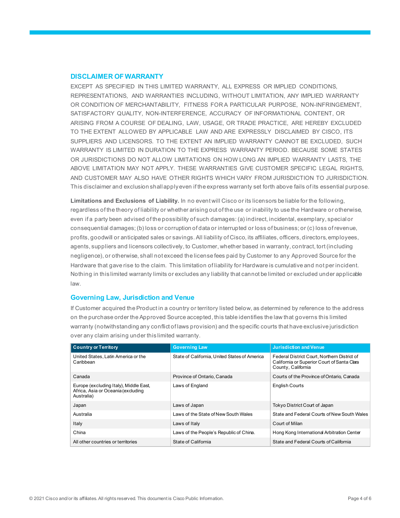#### <span id="page-3-0"></span>**DISCLAIMER OF WARRANTY**

EXCEPT AS SPECIFIED IN THIS LIMITED WARRANTY, ALL EXPRESS OR IMPLIED CONDITIONS, REPRESENTATIONS, AND WARRANTIES INCLUDING, WITHOUT LIMITATION, ANY IMPLIED WARRANTY OR CONDITION OF MERCHANTABILITY, FITNESS FOR A PARTICULAR PURPOSE, NON-INFRINGEMENT, SATISFACTORY QUALITY, NON-INTERFERENCE, ACCURACY OF INFORMATIONAL CONTENT, OR ARISING FROM A COURSE OF DEALING, LAW, USAGE, OR TRADE PRACTICE, ARE HEREBY EXCLUDED TO THE EXTENT ALLOWED BY APPLICABLE LAW AND ARE EXPRESSLY DISCLAIMED BY CISCO, ITS SUPPLIERS AND LICENSORS. TO THE EXTENT AN IMPLIED WARRANTY CANNOT BE EXCLUDED, SUCH WARRANTY IS LIMITED IN DURATION TO THE EXPRESS WARRANTY PERIOD. BECAUSE SOME STATES OR JURISDICTIONS DO NOT ALLOW LIMITATIONS ON HOW LONG AN IMPLIED WARRANTY LASTS, THE ABOVE LIMITATION MAY NOT APPLY. THESE WARRANTIES GIVE CUSTOMER SPECIFIC LEGAL RIGHTS, AND CUSTOMER MAY ALSO HAVE OTHER RIGHTS WHICH VARY FROM JURISDICTION TO JURISDICTION. This disclaimer and exclusion shall apply even if the express warranty set forth above fails of its essential purpose.

**Limitations and Exclusions of Liability.** In no event will Cisco or its licensors be liable for the following, regardless of the theory of liability or whether arising out of the use or inability to use the Hardware or otherwise, even if a party been advised of the possibility of such damages: (a) indirect, incidental, exemplary, special or consequential damages; (b) loss or corruption of data or interrupted or loss of business; or (c) loss of revenue, profits, goodwill or anticipated sales or savings. All liability of Cisco, its affiliates, officers, directors, employees, agents, suppliers and licensors collectively, to Customer, whether based in warranty, contract, tort (including negligence), or otherwise, shall not exceed the license fees paid by Customer to any Approved Source for the Hardware that gave rise to the claim. This limitation of liability for Hardware is cumulative and not per incident. Nothing in this limited warranty limits or excludes any liability that cannot be limited or excluded under applicable law.

#### <span id="page-3-1"></span>**Governing Law, Jurisdiction and Venue**

If Customer acquired the Product in a country or territory listed below, as determined by reference to the address on the purchase order the Approved Source accepted, this table identifies the law that governs this limited warranty (notwithstanding any conflict of laws provision) and the specific courts that have exclusive jurisdiction over any claim arising under this limited warranty.

| <b>Country or Territory</b>                                                                | <b>Governing Law</b>                          | <b>Jurisdiction and Venue</b>                                                                                     |
|--------------------------------------------------------------------------------------------|-----------------------------------------------|-------------------------------------------------------------------------------------------------------------------|
| United States, Latin America or the<br>Caribbean                                           | State of California, United States of America | Federal District Court, Northern District of<br>California or Superior Court of Santa Clara<br>County, California |
| Canada                                                                                     | Province of Ontario, Canada                   | Courts of the Province of Ontario, Canada                                                                         |
| Europe (excluding Italy), Middle East,<br>Africa, Asia or Oceania (excluding<br>Australia) | Laws of England                               | <b>English Courts</b>                                                                                             |
| Japan                                                                                      | Laws of Japan                                 | Tokyo District Court of Japan                                                                                     |
| Australia                                                                                  | Laws of the State of New South Wales          | State and Federal Courts of New South Wales                                                                       |
| Italy                                                                                      | Laws of Italy                                 | Court of Milan                                                                                                    |
| China                                                                                      | Laws of the People's Republic of China.       | Hong Kong International Arbitration Center                                                                        |
| All other countries or territories                                                         | State of California                           | State and Federal Courts of California                                                                            |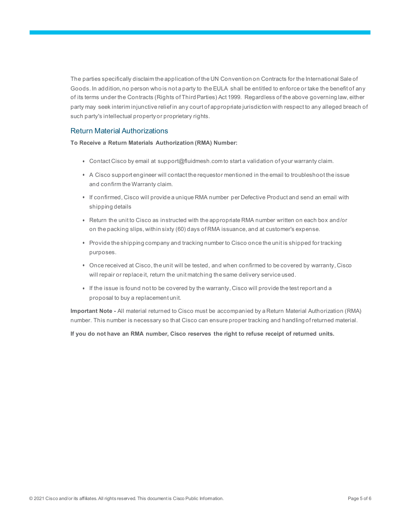The parties specifically disclaim the application of the UN Convention on Contracts for the International Sale of Goods. In addition, no person who is not a party to the EULA shall be entitled to enforce or take the benefit of any of its terms under the Contracts (Rights of Third Parties) Act 1999. Regardless of the above governing law, either party may seek interim injunctive relief in any court of appropriate jurisdiction with respect to any alleged breach of such party's intellectual property or proprietary rights.

# <span id="page-4-0"></span>Return Material Authorizations

**To Receive a Return Materials Authorization (RMA) Number:**

- Contact Cisco by email at support@fluidmesh.com to start a validation of your warranty claim.
- A Cisco support engineer will contact the requestor mentioned in the email to troubleshoot the issue and confirm the Warranty claim.
- If confirmed, Cisco will provide a unique RMA number per Defective Product and send an email with shipping details
- Return the unit to Cisco as instructed with the appropriate RMA number written on each box and/or on the packing slips, within sixty (60) days of RMA issuance, and at customer's expense.
- Provide the shipping company and tracking number to Cisco once the unit is shipped for tracking purposes.
- Once received at Cisco, the unit will be tested, and when confirmed to be covered by warranty, Cisco will repair or replace it, return the unit matching the same delivery service used.
- If the issue is found not to be covered by the warranty, Cisco will provide the test report and a proposal to buy a replacement unit.

**Important Note -** All material returned to Cisco must be accompanied by a Return Material Authorization (RMA) number. This number is necessary so that Cisco can ensure proper tracking and handling of returned material.

**If you do not have an RMA number, Cisco reserves the right to refuse receipt of returned units.**